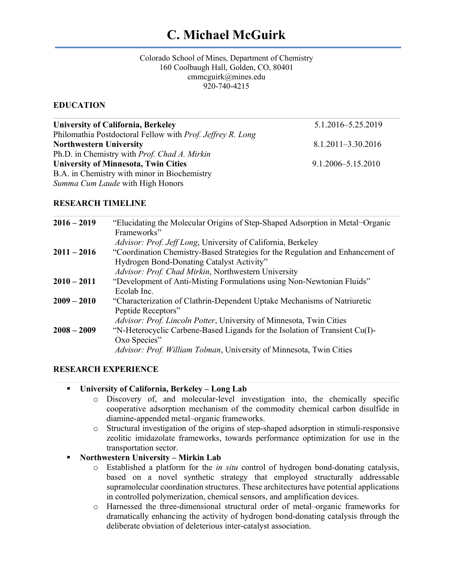# **C. Michael McGuirk**

#### Colorado School of Mines, Department of Chemistry 160 Coolbaugh Hall, Golden, CO, 80401 cmmcguirk@mines.edu 920-740-4215

# **EDUCATION**

| <b>University of California, Berkeley</b>                  | 5.1.2016-5.25.2019     |  |
|------------------------------------------------------------|------------------------|--|
| Philomathia Postdoctoral Fellow with Prof. Jeffrey R. Long |                        |  |
| <b>Northwestern University</b>                             | 8.1.2011-3.30.2016     |  |
| Ph.D. in Chemistry with <i>Prof. Chad A. Mirkin</i>        |                        |  |
| <b>University of Minnesota, Twin Cities</b>                | $9.1.2006 - 5.15.2010$ |  |
| B.A. in Chemistry with minor in Biochemistry               |                        |  |
| Summa Cum Laude with High Honors                           |                        |  |
|                                                            |                        |  |

#### **RESEARCH TIMELINE**

| $2016 - 2019$ | "Elucidating the Molecular Origins of Step-Shaped Adsorption in Metal-Organic<br>Frameworks" |
|---------------|----------------------------------------------------------------------------------------------|
|               | Advisor: Prof. Jeff Long, University of California, Berkeley                                 |
| $2011 - 2016$ | "Coordination Chemistry-Based Strategies for the Regulation and Enhancement of               |
|               | Hydrogen Bond-Donating Catalyst Activity"                                                    |
|               | Advisor: Prof. Chad Mirkin, Northwestern University                                          |
| $2010 - 2011$ | "Development of Anti-Misting Formulations using Non-Newtonian Fluids"                        |
|               | Ecolab Inc.                                                                                  |
| $2009 - 2010$ | "Characterization of Clathrin-Dependent Uptake Mechanisms of Natriuretic                     |
|               | Peptide Receptors"                                                                           |
|               | Advisor: Prof. Lincoln Potter, University of Minnesota, Twin Cities                          |
| $2008 - 2009$ | "N-Heterocyclic Carbene-Based Ligands for the Isolation of Transient Cu(I)-                  |
|               | Oxo Species"                                                                                 |
|               | Advisor: Prof. William Tolman, University of Minnesota, Twin Cities                          |
|               |                                                                                              |

#### **RESEARCH EXPERIENCE**

|  |  | University of California, Berkeley – Long Lab |  |  |
|--|--|-----------------------------------------------|--|--|
|--|--|-----------------------------------------------|--|--|

- o Discovery of, and molecular-level investigation into, the chemically specific cooperative adsorption mechanism of the commodity chemical carbon disulfide in diamine-appended metal–organic frameworks.
- o Structural investigation of the origins of step-shaped adsorption in stimuli-responsive zeolitic imidazolate frameworks, towards performance optimization for use in the transportation sector.

# § **Northwestern University – Mirkin Lab**

- o Established a platform for the *in situ* control of hydrogen bond-donating catalysis, based on a novel synthetic strategy that employed structurally addressable supramolecular coordination structures. These architectures have potential applications in controlled polymerization, chemical sensors, and amplification devices.
- o Harnessed the three-dimensional structural order of metal–organic frameworks for dramatically enhancing the activity of hydrogen bond-donating catalysis through the deliberate obviation of deleterious inter-catalyst association.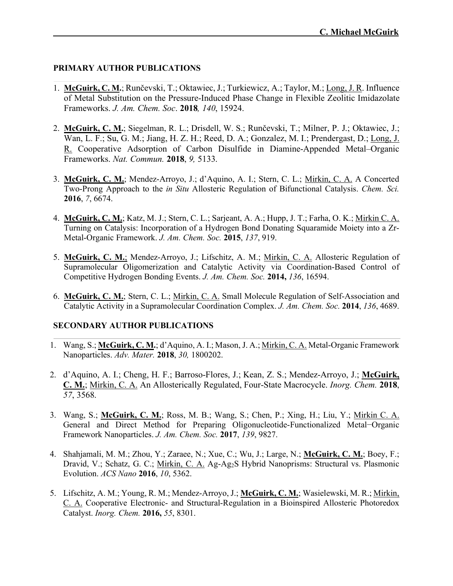### **PRIMARY AUTHOR PUBLICATIONS**

- 1. **McGuirk, C. M.**; Runčevski, T.; Oktawiec, J.; Turkiewicz, A.; Taylor, M.; Long, J. R. Influence of Metal Substitution on the Pressure-Induced Phase Change in Flexible Zeolitic Imidazolate Frameworks. *J. Am. Chem. Soc*. **2018***, 140*, 15924.
- 2. **McGuirk, C. M.**; Siegelman, R. L.; Drisdell, W. S.; Runčevski, T.; Milner, P. J.; Oktawiec, J.; Wan, L. F.; Su, G. M.; Jiang, H. Z. H.; Reed, D. A.; Gonzalez, M. I.; Prendergast, D.; Long, J. R. Cooperative Adsorption of Carbon Disulfide in Diamine-Appended Metal–Organic Frameworks. *Nat. Commun.* **2018**, *9,* 5133.
- 3. **McGuirk, C. M.**; Mendez-Arroyo, J.; d'Aquino, A. I.; Stern, C. L.; Mirkin, C. A. A Concerted Two-Prong Approach to the *in Situ* Allosteric Regulation of Bifunctional Catalysis. *Chem. Sci.*  **2016**, *7*, 6674.
- 4. **McGuirk, C. M.**; Katz, M. J.; Stern, C. L.; Sarjeant, A. A.; Hupp, J. T.; Farha, O. K.; Mirkin C. A. Turning on Catalysis: Incorporation of a Hydrogen Bond Donating Squaramide Moiety into a Zr-Metal-Organic Framework. *J. Am. Chem. Soc.* **2015**, *137*, 919.
- 5. **McGuirk, C. M.**; Mendez-Arroyo, J.; Lifschitz, A. M.; Mirkin, C. A. Allosteric Regulation of Supramolecular Oligomerization and Catalytic Activity via Coordination-Based Control of Competitive Hydrogen Bonding Events. *J. Am. Chem. Soc.* **2014,** *136*, 16594.
- 6. **McGuirk, C. M.**; Stern, C. L.; Mirkin, C. A. Small Molecule Regulation of Self-Association and Catalytic Activity in a Supramolecular Coordination Complex. *J. Am. Chem. Soc.* **2014**, *136*, 4689.

# **SECONDARY AUTHOR PUBLICATIONS**

- 1. Wang, S.; **McGuirk, C. M.**; d'Aquino, A. I.; Mason, J. A.; Mirkin, C. A. Metal-Organic Framework Nanoparticles. *Adv. Mater.* **2018**, *30,* 1800202.
- 2. d'Aquino, A. I.; Cheng, H. F.; Barroso-Flores, J.; Kean, Z. S.; Mendez-Arroyo, J.; **McGuirk, C. M.**; Mirkin, C. A. An Allosterically Regulated, Four-State Macrocycle. *Inorg. Chem.* **2018**, *57*, 3568.
- 3. Wang, S.; **McGuirk, C. M.**; Ross, M. B.; Wang, S.; Chen, P.; Xing, H.; Liu, Y.; Mirkin C. A. General and Direct Method for Preparing Oligonucleotide-Functionalized Metal−Organic Framework Nanoparticles. *J. Am. Chem. Soc.* **2017**, *139*, 9827.
- 4. Shahjamali, M. M.; Zhou, Y.; Zaraee, N.; Xue, C.; Wu, J.; Large, N.; **McGuirk, C. M.**; Boey, F.; Dravid, V.; Schatz, G. C.; Mirkin, C. A. Ag-Ag<sub>2</sub>S Hybrid Nanoprisms: Structural vs. Plasmonic Evolution. *ACS Nano* **2016**, *10*, 5362.
- 5. Lifschitz, A. M.; Young, R. M.; Mendez-Arroyo, J.; **McGuirk, C. M.**; Wasielewski, M. R.; Mirkin, C. A. Cooperative Electronic- and Structural-Regulation in a Bioinspired Allosteric Photoredox Catalyst. *Inorg. Chem.* **2016,** *55*, 8301.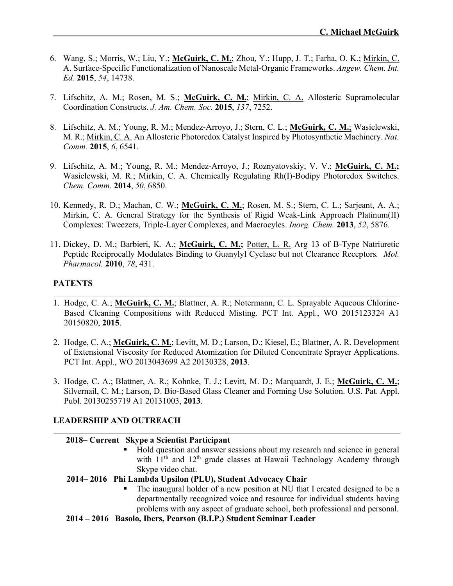- 6. Wang, S.; Morris, W.; Liu, Y.; **McGuirk, C. M.**; Zhou, Y.; Hupp, J. T.; Farha, O. K.; Mirkin, C. A. Surface-Specific Functionalization of Nanoscale Metal-Organic Frameworks. *Angew. Chem. Int. Ed.* **2015**, *54*, 14738.
- 7. Lifschitz, A. M.; Rosen, M. S.; **McGuirk, C. M.**; Mirkin, C. A. Allosteric Supramolecular Coordination Constructs. *J. Am. Chem. Soc.* **2015**, *137*, 7252.
- 8. Lifschitz, A. M.; Young, R. M.; Mendez-Arroyo, J.; Stern, C. L.; **McGuirk, C. M.**; Wasielewski, M. R.; Mirkin, C. A. An Allosteric Photoredox Catalyst Inspired by Photosynthetic Machinery. *Nat. Comm.* **2015**, *6*, 6541.
- 9. Lifschitz, A. M.; Young, R. M.; Mendez-Arroyo, J.; Roznyatovskiy, V. V.; **McGuirk, C. M.;** Wasielewski, M. R.; Mirkin, C. A. Chemically Regulating Rh(I)-Bodipy Photoredox Switches. *Chem. Comm*. **2014**, *50*, 6850.
- 10. Kennedy, R. D.; Machan, C. W.; **McGuirk, C. M.**; Rosen, M. S.; Stern, C. L.; Sarjeant, A. A.; Mirkin, C. A. General Strategy for the Synthesis of Rigid Weak-Link Approach Platinum(II) Complexes: Tweezers, Triple-Layer Complexes, and Macrocyles. *Inorg. Chem.* **2013**, *52*, 5876.
- 11. Dickey, D. M.; Barbieri, K. A.; **McGuirk, C. M.;** Potter, L. R. Arg 13 of B-Type Natriuretic Peptide Reciprocally Modulates Binding to Guanylyl Cyclase but not Clearance Receptors*. Mol. Pharmacol.* **2010**, *78*, 431.

# **PATENTS**

- 1. Hodge, C. A.; **McGuirk, C. M.**; Blattner, A. R.; Notermann, C. L. Sprayable Aqueous Chlorine-Based Cleaning Compositions with Reduced Misting. PCT Int. Appl., WO 2015123324 A1 20150820, **2015**.
- 2. Hodge, C. A.; **McGuirk, C. M.**; Levitt, M. D.; Larson, D.; Kiesel, E.; Blattner, A. R. Development of Extensional Viscosity for Reduced Atomization for Diluted Concentrate Sprayer Applications. PCT Int. Appl., WO 2013043699 A2 20130328, **2013**.
- 3. Hodge, C. A.; Blattner, A. R.; Kohnke, T. J.; Levitt, M. D.; Marquardt, J. E.; **McGuirk, C. M.**; Silvernail, C. M.; Larson, D. Bio-Based Glass Cleaner and Forming Use Solution. U.S. Pat. Appl. Publ. 20130255719 A1 20131003, **2013**.

#### **LEADERSHIP AND OUTREACH**

#### **2018– Current Skype a Scientist Participant**

Hold question and answer sessions about my research and science in general with  $11<sup>th</sup>$  and  $12<sup>th</sup>$  grade classes at Hawaii Technology Academy through Skype video chat.

#### **2014– 2016 Phi Lambda Upsilon (PLU), Student Advocacy Chair**

- The inaugural holder of a new position at NU that I created designed to be a departmentally recognized voice and resource for individual students having problems with any aspect of graduate school, both professional and personal.
- **2014 – 2016 Basolo, Ibers, Pearson (B.I.P.) Student Seminar Leader**